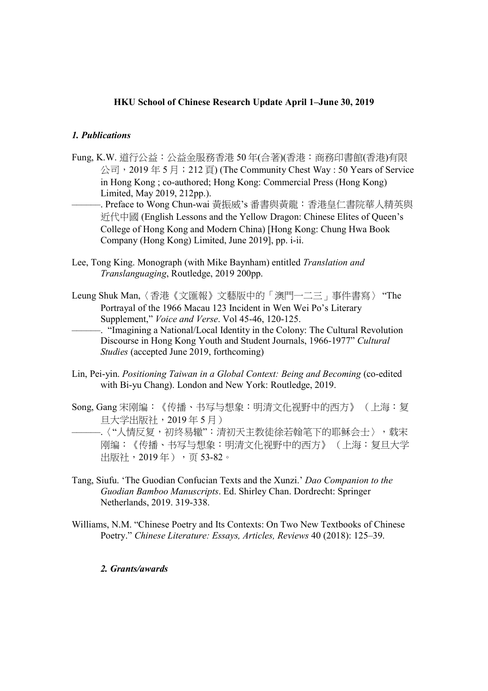# HKU School of Chinese Research Update April 1–June 30, 2019

### 1. Publications

- Fung, K.W. 道行公益: 公益金服務香港 50年(合著)(香港: 商務印書館(香港)有限 公司,2019 年 5 月;212 頁) (The Community Chest Way : 50 Years of Service in Hong Kong ; co-authored; Hong Kong: Commercial Press (Hong Kong) Limited, May 2019, 212pp.).
	- ––––––. Preface to Wong Chun-wai 黃振威's 番書與黃龍:香港皇仁書院華人精英與 近代中國 (English Lessons and the Yellow Dragon: Chinese Elites of Queen's College of Hong Kong and Modern China) [Hong Kong: Chung Hwa Book Company (Hong Kong) Limited, June 2019], pp. i-ii.
- Lee, Tong King. Monograph (with Mike Baynham) entitled Translation and Translanguaging, Routledge, 2019 200pp.
- Leung Shuk Man,〈香港《文匯報》文藝版中的「澳門一二三」事件書寫〉 "The Portrayal of the 1966 Macau 123 Incident in Wen Wei Po's Literary Supplement," Voice and Verse. Vol 45-46, 120-125.

––––––. "Imagining a National/Local Identity in the Colony: The Cultural Revolution Discourse in Hong Kong Youth and Student Journals, 1966-1977" Cultural Studies (accepted June 2019, forthcoming)

- Lin, Pei-yin. Positioning Taiwan in a Global Context: Being and Becoming (co-edited with Bi-yu Chang). London and New York: Routledge, 2019.
- Song, Gang 宋刚编:《传播、书写与想象:明清文化视野中的西方》 (上海:复 旦大学出版社,2019 年 5 月) ––––––.〈"人情反复,初终易辙":清初天主教徒徐若翰笔下的耶稣会士〉,载宋 刚编:《传播、书写与想象:明清文化视野中的西方》 (上海:复旦大学 出版社, 2019年), 页 53-82。
- Tang, Siufu. 'The Guodian Confucian Texts and the Xunzi.' Dao Companion to the Guodian Bamboo Manuscripts. Ed. Shirley Chan. Dordrecht: Springer Netherlands, 2019. 319-338.
- Williams, N.M. "Chinese Poetry and Its Contexts: On Two New Textbooks of Chinese Poetry." Chinese Literature: Essays, Articles, Reviews 40 (2018): 125–39.

#### 2. Grants/awards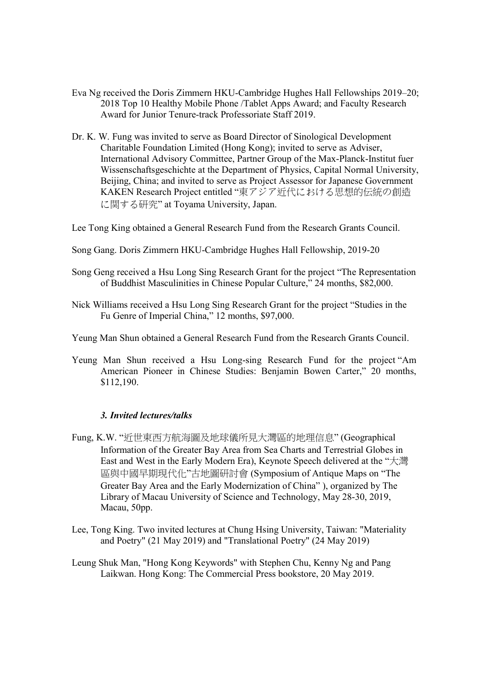- Eva Ng received the Doris Zimmern HKU-Cambridge Hughes Hall Fellowships 2019–20; 2018 Top 10 Healthy Mobile Phone /Tablet Apps Award; and Faculty Research Award for Junior Tenure-track Professoriate Staff 2019.
- Dr. K. W. Fung was invited to serve as Board Director of Sinological Development Charitable Foundation Limited (Hong Kong); invited to serve as Adviser, International Advisory Committee, Partner Group of the Max-Planck-Institut fuer Wissenschaftsgeschichte at the Department of Physics, Capital Normal University, Beijing, China; and invited to serve as Project Assessor for Japanese Government KAKEN Research Project entitled "東アジア近代における思想的伝統の創造 に関する研究" at Toyama University, Japan.

Lee Tong King obtained a General Research Fund from the Research Grants Council.

- Song Gang. Doris Zimmern HKU-Cambridge Hughes Hall Fellowship, 2019-20
- Song Geng received a Hsu Long Sing Research Grant for the project "The Representation of Buddhist Masculinities in Chinese Popular Culture," 24 months, \$82,000.
- Nick Williams received a Hsu Long Sing Research Grant for the project "Studies in the Fu Genre of Imperial China," 12 months, \$97,000.
- Yeung Man Shun obtained a General Research Fund from the Research Grants Council.
- Yeung Man Shun received a Hsu Long-sing Research Fund for the project "Am American Pioneer in Chinese Studies: Benjamin Bowen Carter," 20 months, \$112,190.

## 3. Invited lectures/talks

- Fung, K.W. "近世東西方航海圖及地球儀所見大灣區的地理信息" (Geographical Information of the Greater Bay Area from Sea Charts and Terrestrial Globes in East and West in the Early Modern Era), Keynote Speech delivered at the "大灣 區與中國早期現代化"古地圖研討會 (Symposium of Antique Maps on "The Greater Bay Area and the Early Modernization of China" ), organized by The Library of Macau University of Science and Technology, May 28-30, 2019, Macau, 50pp.
- Lee, Tong King. Two invited lectures at Chung Hsing University, Taiwan: "Materiality and Poetry" (21 May 2019) and "Translational Poetry" (24 May 2019)
- Leung Shuk Man, "Hong Kong Keywords" with Stephen Chu, Kenny Ng and Pang Laikwan. Hong Kong: The Commercial Press bookstore, 20 May 2019.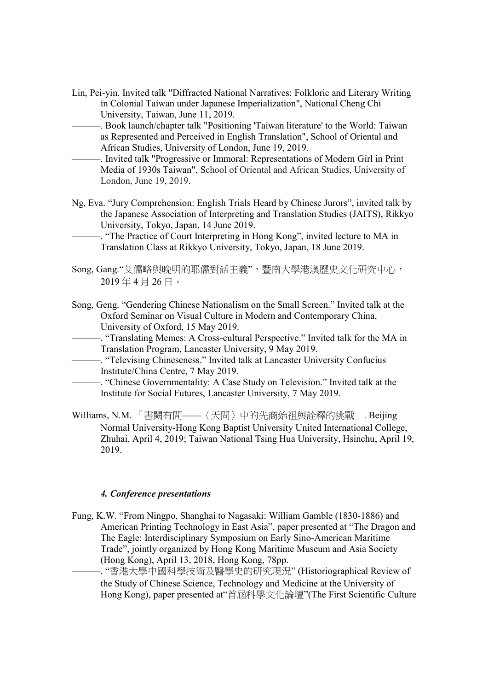- Lin, Pei-yin. Invited talk "Diffracted National Narratives: Folkloric and Literary Writing in Colonial Taiwan under Japanese Imperialization", National Cheng Chi University, Taiwan, June 11, 2019.
	- ––––––. Book launch/chapter talk "Positioning 'Taiwan literature' to the World: Taiwan as Represented and Perceived in English Translation", School of Oriental and African Studies, University of London, June 19, 2019.
	- ––––––. Invited talk "Progressive or Immoral: Representations of Modern Girl in Print Media of 1930s Taiwan", School of Oriental and African Studies, University of London, June 19, 2019.
- Ng, Eva. "Jury Comprehension: English Trials Heard by Chinese Jurors", invited talk by the Japanese Association of Interpreting and Translation Studies (JAITS), Rikkyo University, Tokyo, Japan, 14 June 2019.
	- ––––––. "The Practice of Court Interpreting in Hong Kong", invited lecture to MA in Translation Class at Rikkyo University, Tokyo, Japan, 18 June 2019.
- Song, Gang."艾儒略與晚明的耶儒對話主義",暨南大學港澳歷史文化研究中心, 2019 年 4 月 26 日。
- Song, Geng. "Gendering Chinese Nationalism on the Small Screen." Invited talk at the Oxford Seminar on Visual Culture in Modern and Contemporary China, University of Oxford, 15 May 2019.
	- ––––––. "Translating Memes: A Cross-cultural Perspective." Invited talk for the MA in Translation Program, Lancaster University, 9 May 2019.
- ––––––. "Televising Chineseness." Invited talk at Lancaster University Confucius Institute/China Centre, 7 May 2019.
	- ––––––. "Chinese Governmentality: A Case Study on Television." Invited talk at the Institute for Social Futures, Lancaster University, 7 May 2019.
- Williams, N.M. 「書闕有間——〈天問〉中的先商始祖與詮釋的挑戰」. Beijing Normal University-Hong Kong Baptist University United International College, Zhuhai, April 4, 2019; Taiwan National Tsing Hua University, Hsinchu, April 19, 2019.

## 4. Conference presentations

Fung, K.W. "From Ningpo, Shanghai to Nagasaki: William Gamble (1830-1886) and American Printing Technology in East Asia", paper presented at "The Dragon and The Eagle: Interdisciplinary Symposium on Early Sino-American Maritime Trade", jointly organized by Hong Kong Maritime Museum and Asia Society (Hong Kong), April 13, 2018, Hong Kong, 78pp.

-. "香港大學中國科學技術及醫學史的研究現況" (Historiographical Review of the Study of Chinese Science, Technology and Medicine at the University of Hong Kong), paper presented at"首屆科學文化論壇"(The First Scientific Culture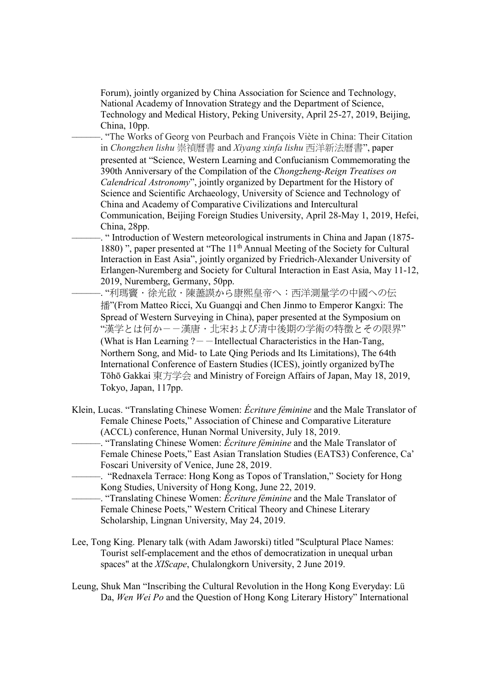Forum), jointly organized by China Association for Science and Technology, National Academy of Innovation Strategy and the Department of Science, Technology and Medical History, Peking University, April 25-27, 2019, Beijing, China, 10pp.

––––––. "The Works of Georg von Peurbach and François Viète in China: Their Citation in Chongzhen lishu 崇禎曆書 and Xiyang xinfa lishu 西洋新法曆書", paper presented at "Science, Western Learning and Confucianism Commemorating the 390th Anniversary of the Compilation of the Chongzheng-Reign Treatises on Calendrical Astronomy", jointly organized by Department for the History of Science and Scientific Archaeology, University of Science and Technology of China and Academy of Comparative Civilizations and Intercultural Communication, Beijing Foreign Studies University, April 28-May 1, 2019, Hefei, China, 28pp.

––––––. " Introduction of Western meteorological instruments in China and Japan (1875- 1880)", paper presented at "The 11<sup>th</sup> Annual Meeting of the Society for Cultural Interaction in East Asia", jointly organized by Friedrich-Alexander University of Erlangen-Nuremberg and Society for Cultural Interaction in East Asia, May 11-12, 2019, Nuremberg, Germany, 50pp.

- "利瑪竇·徐光啟·陳藎謨から康熙皇帝へ:西洋測量学の中國への伝 播"(From Matteo Ricci, Xu Guangqi and Chen Jinmo to Emperor Kangxi: The Spread of Western Surveying in China), paper presented at the Symposium on "漢学とは何か--漢唐.北宋および清中後期の学術の特徴とその限界" (What is Han Learning  $?$  - - Intellectual Characteristics in the Han-Tang, Northern Song, and Mid- to Late Qing Periods and Its Limitations), The 64th International Conference of Eastern Studies (ICES), jointly organized byThe Tōhō Gakkai 東方学会 and Ministry of Foreign Affairs of Japan, May 18, 2019, Tokyo, Japan, 117pp.

Klein, Lucas. "Translating Chinese Women: Écriture féminine and the Male Translator of Female Chinese Poets," Association of Chinese and Comparative Literature (ACCL) conference, Hunan Normal University, July 18, 2019.

–. "Translating Chinese Women: *Écriture féminine* and the Male Translator of Female Chinese Poets," East Asian Translation Studies (EATS3) Conference, Ca' Foscari University of Venice, June 28, 2019.

––––––. "Rednaxela Terrace: Hong Kong as Topos of Translation," Society for Hong Kong Studies, University of Hong Kong, June 22, 2019.

 $-$ . "Translating Chinese Women: *Écriture féminine* and the Male Translator of Female Chinese Poets," Western Critical Theory and Chinese Literary Scholarship, Lingnan University, May 24, 2019.

- Lee, Tong King. Plenary talk (with Adam Jaworski) titled "Sculptural Place Names: Tourist self-emplacement and the ethos of democratization in unequal urban spaces" at the XIScape, Chulalongkorn University, 2 June 2019.
- Leung, Shuk Man "Inscribing the Cultural Revolution in the Hong Kong Everyday: Lü Da, Wen Wei Po and the Question of Hong Kong Literary History" International